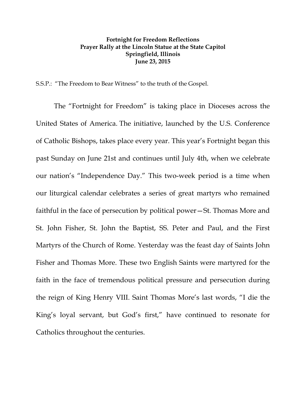## **Fortnight for Freedom Reflections Prayer Rally at the Lincoln Statue at the State Capitol Springfield, Illinois June 23, 2015**

S.S.P.: "The Freedom to Bear Witness" to the truth of the Gospel.

The "Fortnight for Freedom" is taking place in Dioceses across the United States of America. The initiative, launched by the U.S. Conference of Catholic Bishops, takes place every year. This year's Fortnight began this past Sunday on June 21st and continues until July 4th, when we celebrate our nation's "Independence Day." This two-week period is a time when our liturgical calendar celebrates a series of great martyrs who remained faithful in the face of persecution by political power—St. Thomas More and St. John Fisher, St. John the Baptist, SS. Peter and Paul, and the First Martyrs of the Church of Rome. Yesterday was the feast day of Saints John Fisher and Thomas More. These two English Saints were martyred for the faith in the face of tremendous political pressure and persecution during the reign of King Henry VIII. Saint Thomas More's last words, "I die the King's loyal servant, but God's first," have continued to resonate for Catholics throughout the centuries.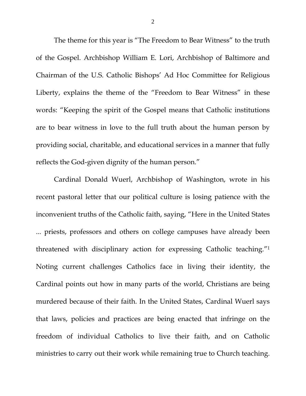The theme for this year is "The Freedom to Bear Witness" to the truth of the Gospel. Archbishop William E. Lori, Archbishop of Baltimore and Chairman of the U.S. Catholic Bishops' Ad Hoc Committee for Religious Liberty, explains the theme of the "Freedom to Bear Witness" in these words: "Keeping the spirit of the Gospel means that Catholic institutions are to bear witness in love to the full truth about the human person by providing social, charitable, and educational services in a manner that fully reflects the God-given dignity of the human person."

Cardinal Donald Wuerl, Archbishop of Washington, wrote in his recent pastoral letter that our political culture is losing patience with the inconvenient truths of the Catholic faith, saying, "Here in the United States ... priests, professors and others on college campuses have already been threatened with disciplinary action for expressing Catholic teaching."1 Noting current challenges Catholics face in living their identity, the Cardinal points out how in many parts of the world, Christians are being murdered because of their faith. In the United States, Cardinal Wuerl says that laws, policies and practices are being enacted that infringe on the freedom of individual Catholics to live their faith, and on Catholic ministries to carry out their work while remaining true to Church teaching.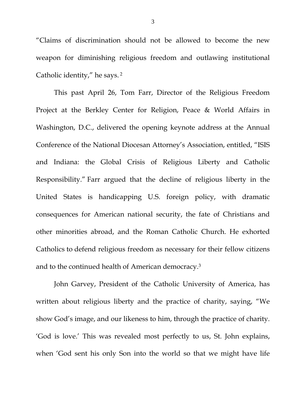"Claims of discrimination should not be allowed to become the new weapon for diminishing religious freedom and outlawing institutional Catholic identity," he says. 2

This past April 26, Tom Farr, Director of the Religious Freedom Project at the Berkley Center for Religion, Peace & World Affairs in Washington, D.C., delivered the opening keynote address at the Annual Conference of the National Diocesan Attorney's Association, entitled, "ISIS and Indiana: the Global Crisis of Religious Liberty and Catholic Responsibility." Farr argued that the decline of religious liberty in the United States is handicapping U.S. foreign policy, with dramatic consequences for American national security, the fate of Christians and other minorities abroad, and the Roman Catholic Church. He exhorted Catholics to defend religious freedom as necessary for their fellow citizens and to the continued health of American democracy.3

John Garvey, President of the Catholic University of America, has written about religious liberty and the practice of charity, saying, "We show God's image, and our likeness to him, through the practice of charity. 'God is love.' This was revealed most perfectly to us, St. John explains, when 'God sent his only Son into the world so that we might have life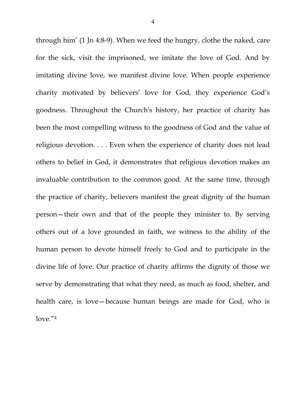through him' (1 Jn 4:8-9). When we feed the hungry, clothe the naked, care for the sick, visit the imprisoned, we imitate the love of God. And by imitating divine love, we manifest divine love. When people experience charity motivated by believers' love for God, they experience God's goodness. Throughout the Church's history, her practice of charity has been the most compelling witness to the goodness of God and the value of religious devotion. . . . Even when the experience of charity does not lead others to belief in God, it demonstrates that religious devotion makes an invaluable contribution to the common good. At the same time, through the practice of charity, believers manifest the great dignity of the human person—their own and that of the people they minister to. By serving others out of a love grounded in faith, we witness to the ability of the human person to devote himself freely to God and to participate in the divine life of love. Our practice of charity affirms the dignity of those we serve by demonstrating that what they need, as much as food, shelter, and health care, is love—because human beings are made for God, who is love."4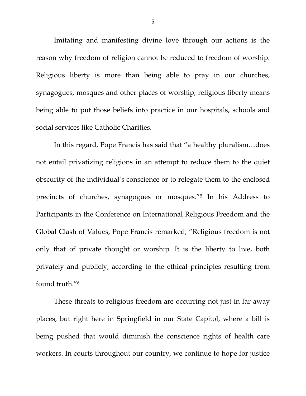Imitating and manifesting divine love through our actions is the reason why freedom of religion cannot be reduced to freedom of worship. Religious liberty is more than being able to pray in our churches, synagogues, mosques and other places of worship; religious liberty means being able to put those beliefs into practice in our hospitals, schools and social services like Catholic Charities.

In this regard, Pope Francis has said that "a healthy pluralism…does not entail privatizing religions in an attempt to reduce them to the quiet obscurity of the individual's conscience or to relegate them to the enclosed precincts of churches, synagogues or mosques."5 In his Address to Participants in the Conference on International Religious Freedom and the Global Clash of Values, Pope Francis remarked, "Religious freedom is not only that of private thought or worship. It is the liberty to live, both privately and publicly, according to the ethical principles resulting from found truth."6

These threats to religious freedom are occurring not just in far-away places, but right here in Springfield in our State Capitol, where a bill is being pushed that would diminish the conscience rights of health care workers. In courts throughout our country, we continue to hope for justice

5